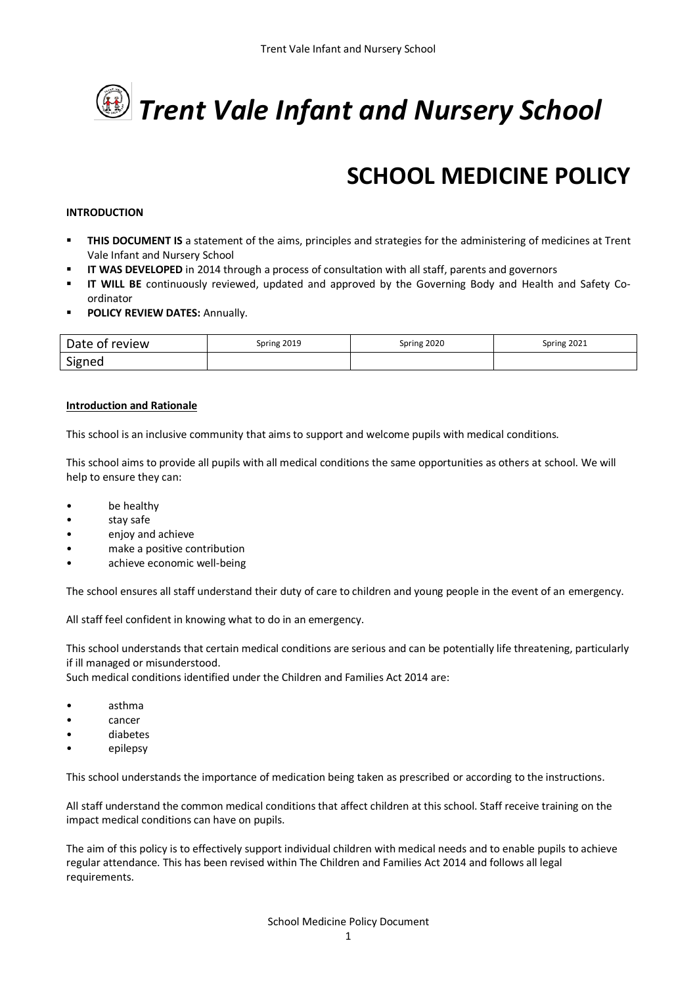

# **SCHOOL MEDICINE POLICY**

#### **INTRODUCTION**

- **THIS DOCUMENT IS** a statement of the aims, principles and strategies for the administering of medicines at Trent Vale Infant and Nursery School
- **IT WAS DEVELOPED** in 2014 through a process of consultation with all staff, parents and governors
- **IT WILL BE** continuously reviewed, updated and approved by the Governing Body and Health and Safety Coordinator
- **POLICY REVIEW DATES: Annually.**

| Date of review | Spring 2019 | Spring 2020 | Spring 2021 |  |  |
|----------------|-------------|-------------|-------------|--|--|
| Signed         |             |             |             |  |  |

#### **Introduction and Rationale**

This school is an inclusive community that aims to support and welcome pupils with medical conditions.

This school aims to provide all pupils with all medical conditions the same opportunities as others at school. We will help to ensure they can:

- be healthy
- stay safe
- enjoy and achieve
- make a positive contribution
- achieve economic well-being

The school ensures all staff understand their duty of care to children and young people in the event of an emergency.

All staff feel confident in knowing what to do in an emergency.

This school understands that certain medical conditions are serious and can be potentially life threatening, particularly if ill managed or misunderstood.

Such medical conditions identified under the Children and Families Act 2014 are:

- asthma
- cancer
- diabetes
- epilepsy

This school understands the importance of medication being taken as prescribed or according to the instructions.

All staff understand the common medical conditions that affect children at this school. Staff receive training on the impact medical conditions can have on pupils.

The aim of this policy is to effectively support individual children with medical needs and to enable pupils to achieve regular attendance. This has been revised within The Children and Families Act 2014 and follows all legal requirements.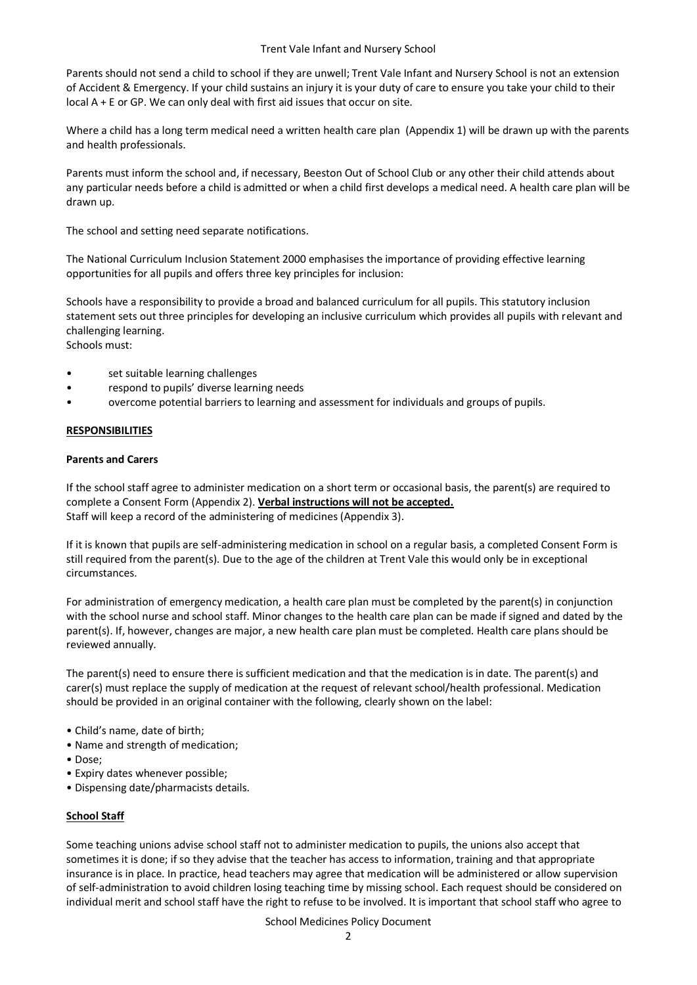#### Trent Vale Infant and Nursery School

Parents should not send a child to school if they are unwell; Trent Vale Infant and Nursery School is not an extension of Accident & Emergency. If your child sustains an injury it is your duty of care to ensure you take your child to their local A + E or GP. We can only deal with first aid issues that occur on site.

Where a child has a long term medical need a written health care plan (Appendix 1) will be drawn up with the parents and health professionals.

Parents must inform the school and, if necessary, Beeston Out of School Club or any other their child attends about any particular needs before a child is admitted or when a child first develops a medical need. A health care plan will be drawn up.

The school and setting need separate notifications.

The National Curriculum Inclusion Statement 2000 emphasises the importance of providing effective learning opportunities for all pupils and offers three key principles for inclusion:

Schools have a responsibility to provide a broad and balanced curriculum for all pupils. This statutory inclusion statement sets out three principles for developing an inclusive curriculum which provides all pupils with relevant and challenging learning.

Schools must:

- set suitable learning challenges
- respond to pupils' diverse learning needs
- overcome potential barriers to learning and assessment for individuals and groups of pupils.

#### **RESPONSIBILITIES**

#### **Parents and Carers**

If the school staff agree to administer medication on a short term or occasional basis, the parent(s) are required to complete a Consent Form (Appendix 2). **Verbal instructions will not be accepted.** Staff will keep a record of the administering of medicines (Appendix 3).

If it is known that pupils are self-administering medication in school on a regular basis, a completed Consent Form is still required from the parent(s). Due to the age of the children at Trent Vale this would only be in exceptional circumstances.

For administration of emergency medication, a health care plan must be completed by the parent(s) in conjunction with the school nurse and school staff. Minor changes to the health care plan can be made if signed and dated by the parent(s). If, however, changes are major, a new health care plan must be completed. Health care plans should be reviewed annually.

The parent(s) need to ensure there is sufficient medication and that the medication is in date. The parent(s) and carer(s) must replace the supply of medication at the request of relevant school/health professional. Medication should be provided in an original container with the following, clearly shown on the label:

- Child's name, date of birth;
- Name and strength of medication;
- Dose;
- Expiry dates whenever possible;
- Dispensing date/pharmacists details.

#### **School Staff**

Some teaching unions advise school staff not to administer medication to pupils, the unions also accept that sometimes it is done; if so they advise that the teacher has access to information, training and that appropriate insurance is in place. In practice, head teachers may agree that medication will be administered or allow supervision of self-administration to avoid children losing teaching time by missing school. Each request should be considered on individual merit and school staff have the right to refuse to be involved. It is important that school staff who agree to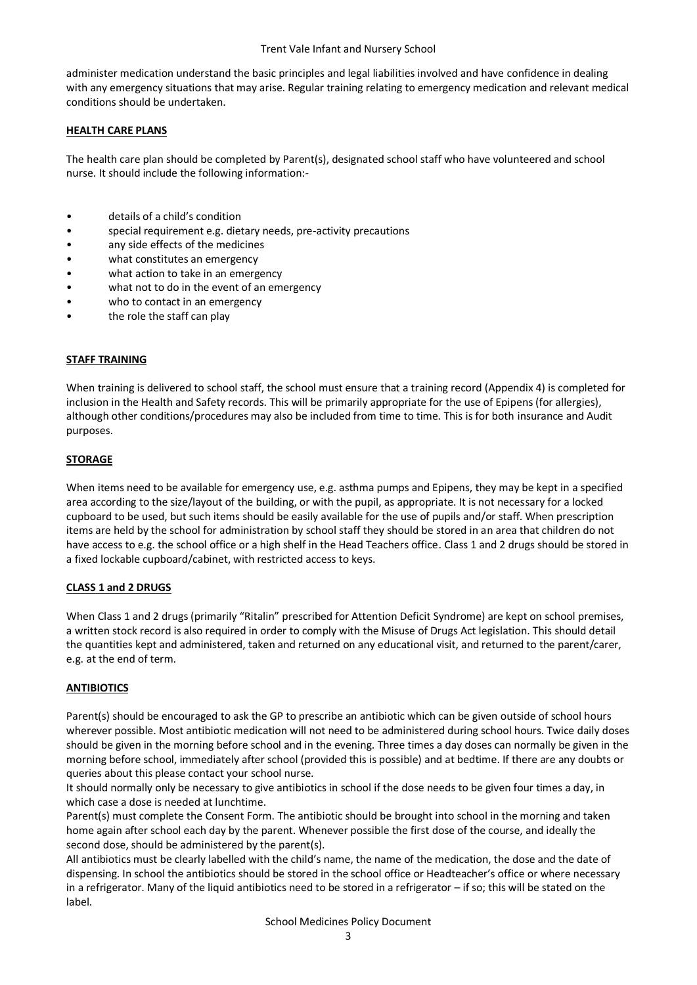#### Trent Vale Infant and Nursery School

administer medication understand the basic principles and legal liabilities involved and have confidence in dealing with any emergency situations that may arise. Regular training relating to emergency medication and relevant medical conditions should be undertaken.

#### **HEALTH CARE PLANS**

The health care plan should be completed by Parent(s), designated school staff who have volunteered and school nurse. It should include the following information:-

- details of a child's condition
- special requirement e.g. dietary needs, pre-activity precautions
- any side effects of the medicines
- what constitutes an emergency
- what action to take in an emergency
- what not to do in the event of an emergency
- who to contact in an emergency
- the role the staff can play

### **STAFF TRAINING**

When training is delivered to school staff, the school must ensure that a training record (Appendix 4) is completed for inclusion in the Health and Safety records. This will be primarily appropriate for the use of Epipens (for allergies), although other conditions/procedures may also be included from time to time. This is for both insurance and Audit purposes.

### **STORAGE**

When items need to be available for emergency use, e.g. asthma pumps and Epipens, they may be kept in a specified area according to the size/layout of the building, or with the pupil, as appropriate. It is not necessary for a locked cupboard to be used, but such items should be easily available for the use of pupils and/or staff. When prescription items are held by the school for administration by school staff they should be stored in an area that children do not have access to e.g. the school office or a high shelf in the Head Teachers office. Class 1 and 2 drugs should be stored in a fixed lockable cupboard/cabinet, with restricted access to keys.

#### **CLASS 1 and 2 DRUGS**

When Class 1 and 2 drugs (primarily "Ritalin" prescribed for Attention Deficit Syndrome) are kept on school premises, a written stock record is also required in order to comply with the Misuse of Drugs Act legislation. This should detail the quantities kept and administered, taken and returned on any educational visit, and returned to the parent/carer, e.g. at the end of term.

# **ANTIBIOTICS**

Parent(s) should be encouraged to ask the GP to prescribe an antibiotic which can be given outside of school hours wherever possible. Most antibiotic medication will not need to be administered during school hours. Twice daily doses should be given in the morning before school and in the evening. Three times a day doses can normally be given in the morning before school, immediately after school (provided this is possible) and at bedtime. If there are any doubts or queries about this please contact your school nurse.

It should normally only be necessary to give antibiotics in school if the dose needs to be given four times a day, in which case a dose is needed at lunchtime.

Parent(s) must complete the Consent Form. The antibiotic should be brought into school in the morning and taken home again after school each day by the parent. Whenever possible the first dose of the course, and ideally the second dose, should be administered by the parent(s).

All antibiotics must be clearly labelled with the child's name, the name of the medication, the dose and the date of dispensing. In school the antibiotics should be stored in the school office or Headteacher's office or where necessary in a refrigerator. Many of the liquid antibiotics need to be stored in a refrigerator – if so; this will be stated on the label.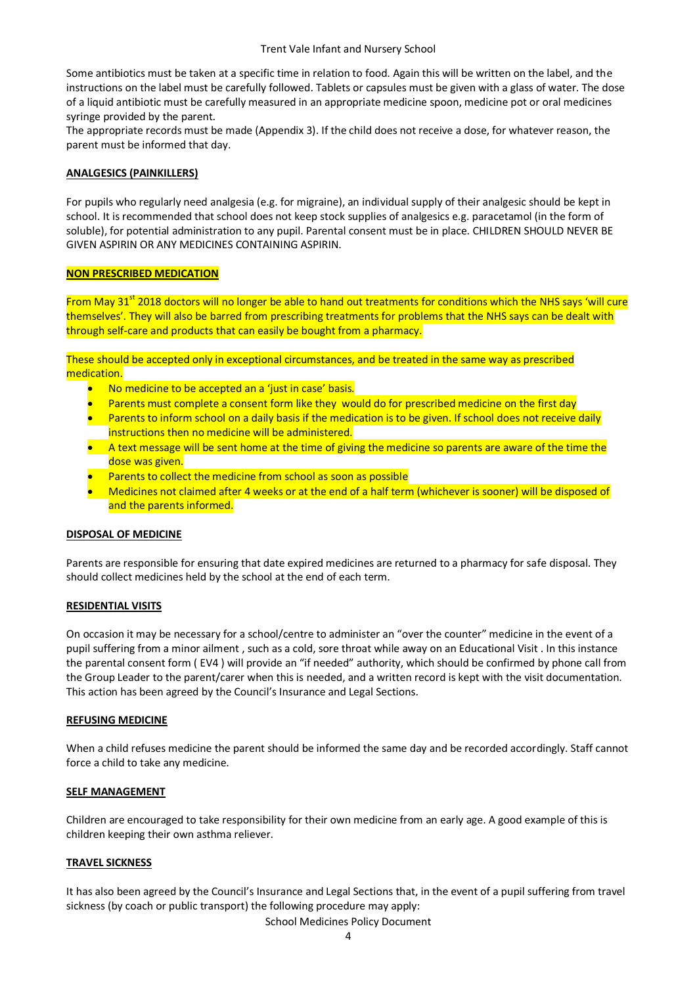#### Trent Vale Infant and Nursery School

Some antibiotics must be taken at a specific time in relation to food. Again this will be written on the label, and the instructions on the label must be carefully followed. Tablets or capsules must be given with a glass of water. The dose of a liquid antibiotic must be carefully measured in an appropriate medicine spoon, medicine pot or oral medicines syringe provided by the parent.

The appropriate records must be made (Appendix 3). If the child does not receive a dose, for whatever reason, the parent must be informed that day.

#### **ANALGESICS (PAINKILLERS)**

For pupils who regularly need analgesia (e.g. for migraine), an individual supply of their analgesic should be kept in school. It is recommended that school does not keep stock supplies of analgesics e.g. paracetamol (in the form of soluble), for potential administration to any pupil. Parental consent must be in place. CHILDREN SHOULD NEVER BE GIVEN ASPIRIN OR ANY MEDICINES CONTAINING ASPIRIN.

#### **NON PRESCRIBED MEDICATION**

From May 31<sup>st</sup> 2018 doctors will no longer be able to hand out treatments for conditions which the NHS says 'will cure themselves'. They will also be barred from prescribing treatments for problems that the NHS says can be dealt with through self-care and products that can easily be bought from a pharmacy.

These should be accepted only in exceptional circumstances, and be treated in the same way as prescribed medication.

- No medicine to be accepted an a 'just in case' basis.
- **Parents must complete a consent form like they would do for prescribed medicine on the first day**
- Parents to inform school on a daily basis if the medication is to be given. If school does not receive daily instructions then no medicine will be administered.
- **A text message will be sent home at the time of giving the medicine so parents are aware of the time the** dose was given.
- Parents to collect the medicine from school as soon as possible
- Medicines not claimed after 4 weeks or at the end of a half term (whichever is sooner) will be disposed of and the parents informed.

#### **DISPOSAL OF MEDICINE**

Parents are responsible for ensuring that date expired medicines are returned to a pharmacy for safe disposal. They should collect medicines held by the school at the end of each term.

#### **RESIDENTIAL VISITS**

On occasion it may be necessary for a school/centre to administer an "over the counter" medicine in the event of a pupil suffering from a minor ailment , such as a cold, sore throat while away on an Educational Visit . In this instance the parental consent form ( EV4 ) will provide an "if needed" authority, which should be confirmed by phone call from the Group Leader to the parent/carer when this is needed, and a written record is kept with the visit documentation. This action has been agreed by the Council's Insurance and Legal Sections.

#### **REFUSING MEDICINE**

When a child refuses medicine the parent should be informed the same day and be recorded accordingly. Staff cannot force a child to take any medicine.

#### **SELF MANAGEMENT**

Children are encouraged to take responsibility for their own medicine from an early age. A good example of this is children keeping their own asthma reliever.

#### **TRAVEL SICKNESS**

It has also been agreed by the Council's Insurance and Legal Sections that, in the event of a pupil suffering from travel sickness (by coach or public transport) the following procedure may apply: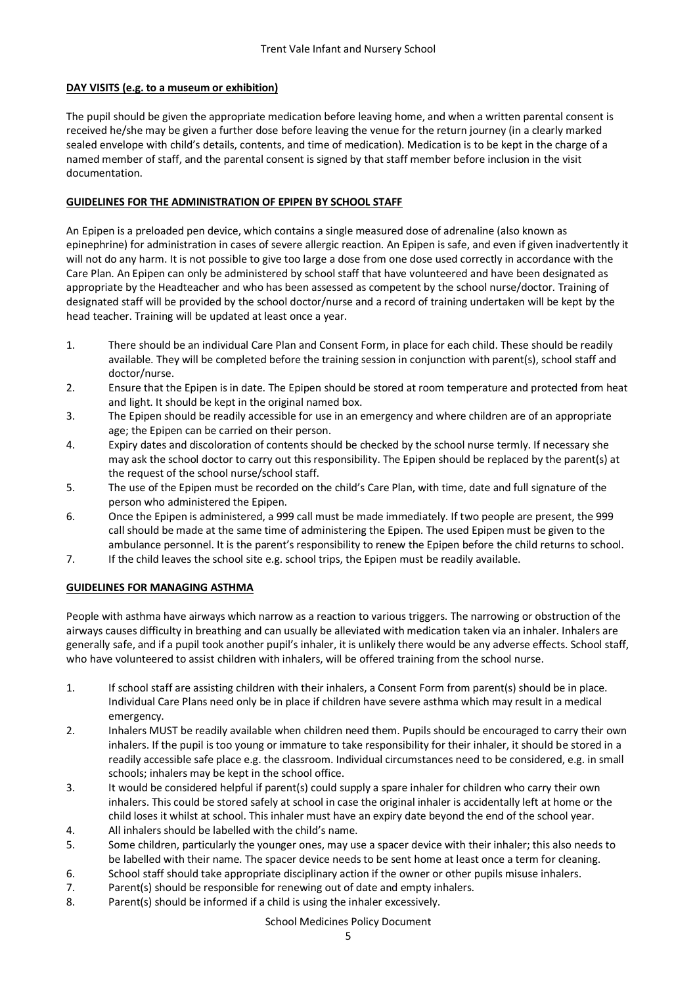# **DAY VISITS (e.g. to a museum or exhibition)**

The pupil should be given the appropriate medication before leaving home, and when a written parental consent is received he/she may be given a further dose before leaving the venue for the return journey (in a clearly marked sealed envelope with child's details, contents, and time of medication). Medication is to be kept in the charge of a named member of staff, and the parental consent is signed by that staff member before inclusion in the visit documentation.

### **GUIDELINES FOR THE ADMINISTRATION OF EPIPEN BY SCHOOL STAFF**

An Epipen is a preloaded pen device, which contains a single measured dose of adrenaline (also known as epinephrine) for administration in cases of severe allergic reaction. An Epipen is safe, and even if given inadvertently it will not do any harm. It is not possible to give too large a dose from one dose used correctly in accordance with the Care Plan. An Epipen can only be administered by school staff that have volunteered and have been designated as appropriate by the Headteacher and who has been assessed as competent by the school nurse/doctor. Training of designated staff will be provided by the school doctor/nurse and a record of training undertaken will be kept by the head teacher. Training will be updated at least once a year.

- 1. There should be an individual Care Plan and Consent Form, in place for each child. These should be readily available. They will be completed before the training session in conjunction with parent(s), school staff and doctor/nurse.
- 2. Ensure that the Epipen is in date. The Epipen should be stored at room temperature and protected from heat and light. It should be kept in the original named box.
- 3. The Epipen should be readily accessible for use in an emergency and where children are of an appropriate age; the Epipen can be carried on their person.
- 4. Expiry dates and discoloration of contents should be checked by the school nurse termly. If necessary she may ask the school doctor to carry out this responsibility. The Epipen should be replaced by the parent(s) at the request of the school nurse/school staff.
- 5. The use of the Epipen must be recorded on the child's Care Plan, with time, date and full signature of the person who administered the Epipen.
- 6. Once the Epipen is administered, a 999 call must be made immediately. If two people are present, the 999 call should be made at the same time of administering the Epipen. The used Epipen must be given to the ambulance personnel. It is the parent's responsibility to renew the Epipen before the child returns to school.
- 7. If the child leaves the school site e.g. school trips, the Epipen must be readily available.

# **GUIDELINES FOR MANAGING ASTHMA**

People with asthma have airways which narrow as a reaction to various triggers. The narrowing or obstruction of the airways causes difficulty in breathing and can usually be alleviated with medication taken via an inhaler. Inhalers are generally safe, and if a pupil took another pupil's inhaler, it is unlikely there would be any adverse effects. School staff, who have volunteered to assist children with inhalers, will be offered training from the school nurse.

- 1. If school staff are assisting children with their inhalers, a Consent Form from parent(s) should be in place. Individual Care Plans need only be in place if children have severe asthma which may result in a medical emergency.
- 2. Inhalers MUST be readily available when children need them. Pupils should be encouraged to carry their own inhalers. If the pupil is too young or immature to take responsibility for their inhaler, it should be stored in a readily accessible safe place e.g. the classroom. Individual circumstances need to be considered, e.g. in small schools; inhalers may be kept in the school office.
- 3. It would be considered helpful if parent(s) could supply a spare inhaler for children who carry their own inhalers. This could be stored safely at school in case the original inhaler is accidentally left at home or the child loses it whilst at school. This inhaler must have an expiry date beyond the end of the school year.
- 4. All inhalers should be labelled with the child's name.
- 5. Some children, particularly the younger ones, may use a spacer device with their inhaler; this also needs to be labelled with their name. The spacer device needs to be sent home at least once a term for cleaning.
- 6. School staff should take appropriate disciplinary action if the owner or other pupils misuse inhalers.
- 7. Parent(s) should be responsible for renewing out of date and empty inhalers.
- 8. Parent(s) should be informed if a child is using the inhaler excessively.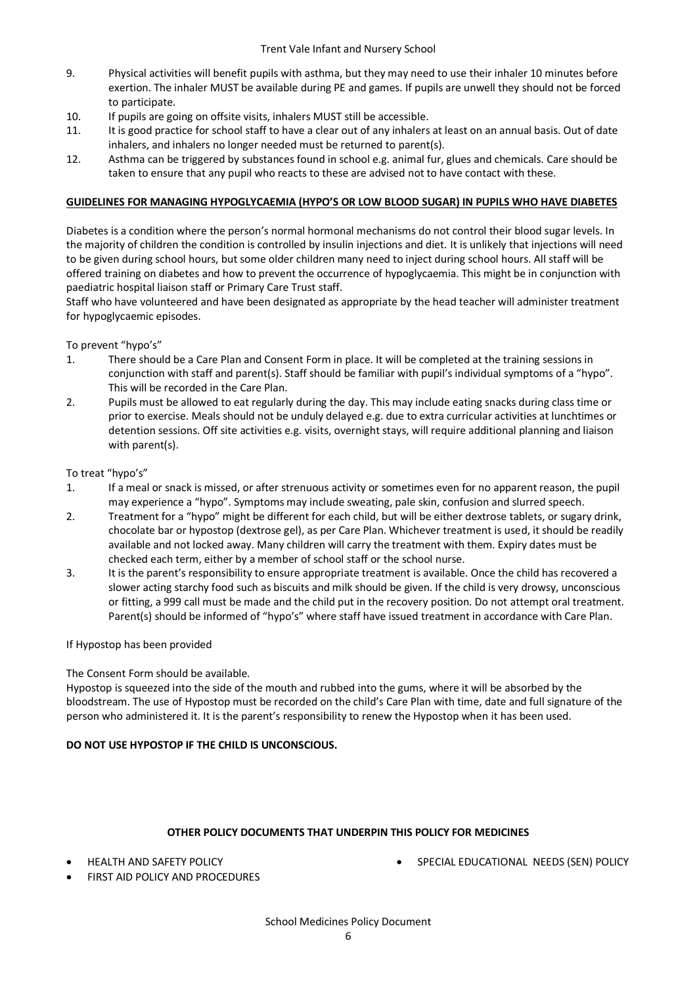- 9. Physical activities will benefit pupils with asthma, but they may need to use their inhaler 10 minutes before exertion. The inhaler MUST be available during PE and games. If pupils are unwell they should not be forced to participate.
- 10. If pupils are going on offsite visits, inhalers MUST still be accessible.
- 11. It is good practice for school staff to have a clear out of any inhalers at least on an annual basis. Out of date inhalers, and inhalers no longer needed must be returned to parent(s).
- 12. Asthma can be triggered by substances found in school e.g. animal fur, glues and chemicals. Care should be taken to ensure that any pupil who reacts to these are advised not to have contact with these.

### **GUIDELINES FOR MANAGING HYPOGLYCAEMIA (HYPO'S OR LOW BLOOD SUGAR) IN PUPILS WHO HAVE DIABETES**

Diabetes is a condition where the person's normal hormonal mechanisms do not control their blood sugar levels. In the majority of children the condition is controlled by insulin injections and diet. It is unlikely that injections will need to be given during school hours, but some older children many need to inject during school hours. All staff will be offered training on diabetes and how to prevent the occurrence of hypoglycaemia. This might be in conjunction with paediatric hospital liaison staff or Primary Care Trust staff.

Staff who have volunteered and have been designated as appropriate by the head teacher will administer treatment for hypoglycaemic episodes.

To prevent "hypo's"

- 1. There should be a Care Plan and Consent Form in place. It will be completed at the training sessions in conjunction with staff and parent(s). Staff should be familiar with pupil's individual symptoms of a "hypo". This will be recorded in the Care Plan.
- 2. Pupils must be allowed to eat regularly during the day. This may include eating snacks during class time or prior to exercise. Meals should not be unduly delayed e.g. due to extra curricular activities at lunchtimes or detention sessions. Off site activities e.g. visits, overnight stays, will require additional planning and liaison with parent(s).

To treat "hypo's"

- 1. If a meal or snack is missed, or after strenuous activity or sometimes even for no apparent reason, the pupil may experience a "hypo". Symptoms may include sweating, pale skin, confusion and slurred speech.
- 2. Treatment for a "hypo" might be different for each child, but will be either dextrose tablets, or sugary drink, chocolate bar or hypostop (dextrose gel), as per Care Plan. Whichever treatment is used, it should be readily available and not locked away. Many children will carry the treatment with them. Expiry dates must be checked each term, either by a member of school staff or the school nurse.
- 3. It is the parent's responsibility to ensure appropriate treatment is available. Once the child has recovered a slower acting starchy food such as biscuits and milk should be given. If the child is very drowsy, unconscious or fitting, a 999 call must be made and the child put in the recovery position. Do not attempt oral treatment. Parent(s) should be informed of "hypo's" where staff have issued treatment in accordance with Care Plan.

#### If Hypostop has been provided

# The Consent Form should be available.

Hypostop is squeezed into the side of the mouth and rubbed into the gums, where it will be absorbed by the bloodstream. The use of Hypostop must be recorded on the child's Care Plan with time, date and full signature of the person who administered it. It is the parent's responsibility to renew the Hypostop when it has been used.

# **DO NOT USE HYPOSTOP IF THE CHILD IS UNCONSCIOUS.**

#### **OTHER POLICY DOCUMENTS THAT UNDERPIN THIS POLICY FOR MEDICINES**

HEALTH AND SAFETY POLICY

SPECIAL EDUCATIONAL NEEDS (SEN) POLICY

FIRST AID POLICY AND PROCEDURES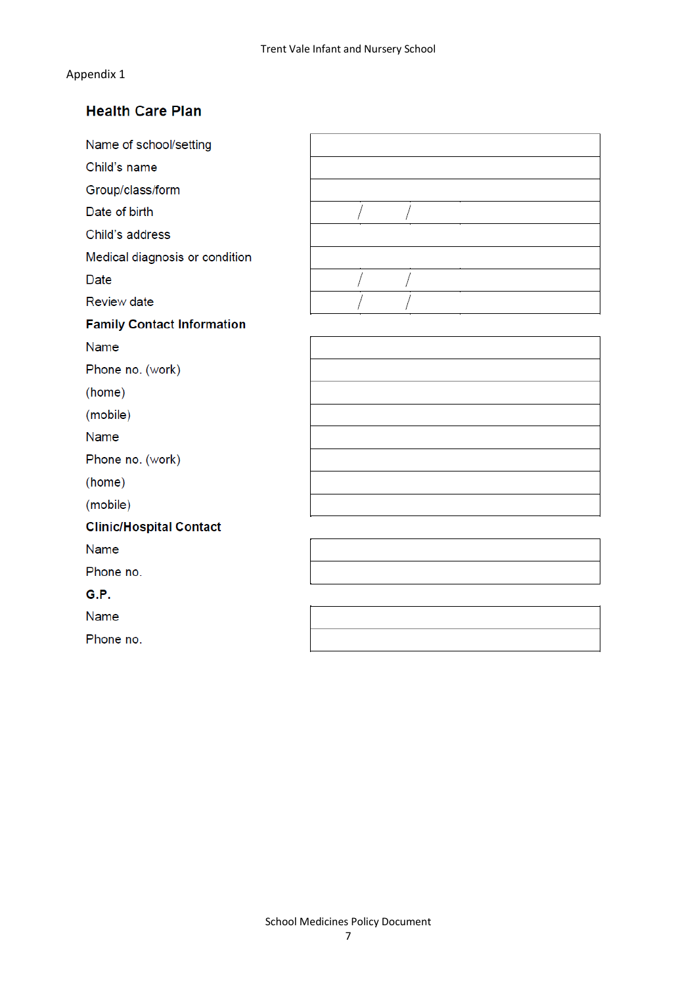# **Health Care Plan**

| Name of school/setting            |  |
|-----------------------------------|--|
| Child's name                      |  |
| Group/class/form                  |  |
| Date of birth                     |  |
| Child's address                   |  |
| Medical diagnosis or condition    |  |
| <b>Date</b>                       |  |
| <b>Review date</b>                |  |
| <b>Family Contact Information</b> |  |
| Name                              |  |
| Phone no. (work)                  |  |
| (home)                            |  |
| (mobile)                          |  |
| Name                              |  |
| Phone no. (work)                  |  |
| (home)                            |  |
| (mobile)                          |  |
| <b>Clinic/Hospital Contact</b>    |  |
| Name                              |  |
| Phone no.                         |  |
| G.P.                              |  |
| Name                              |  |
| Phone no.                         |  |
|                                   |  |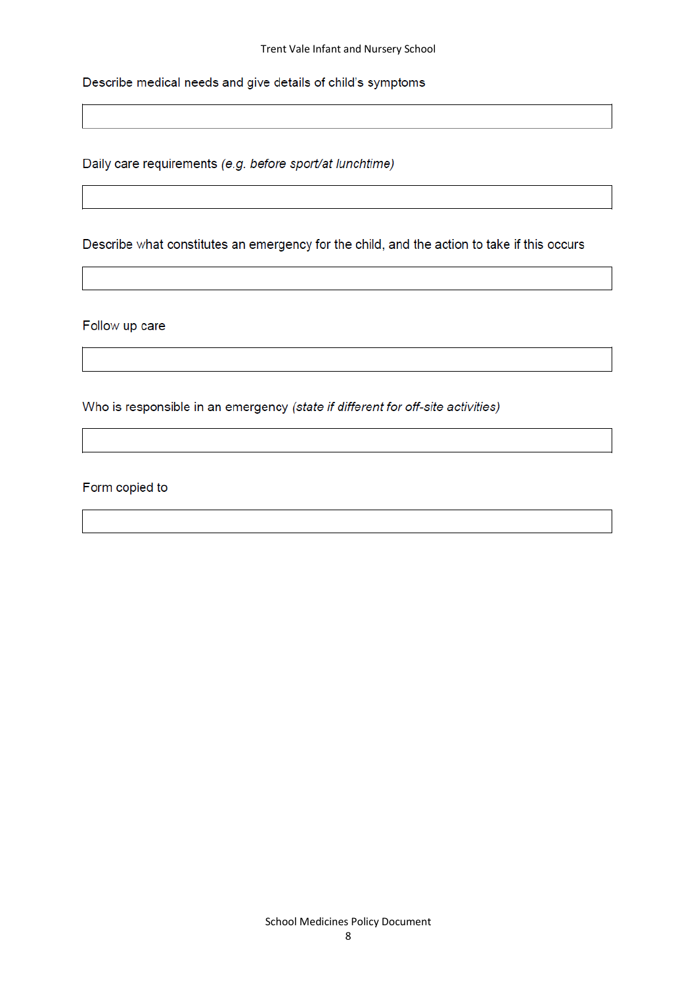Describe medical needs and give details of child's symptoms

Daily care requirements (e.g. before sport/at lunchtime)

Describe what constitutes an emergency for the child, and the action to take if this occurs

Follow up care

Who is responsible in an emergency (state if different for off-site activities)

Form copied to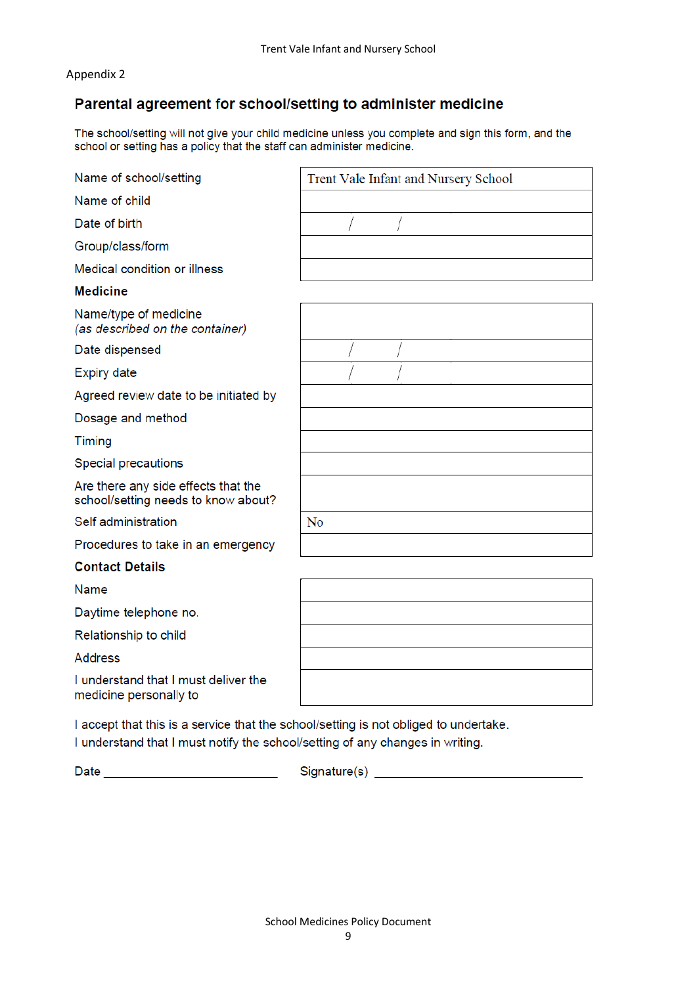# Parental agreement for school/setting to administer medicine

The school/setting will not give your child medicine unless you complete and sign this form, and the school or setting has a policy that the staff can administer medicine.

| Name of school/setting                                                               | Trent Vale Infant and Nursery School |
|--------------------------------------------------------------------------------------|--------------------------------------|
| Name of child                                                                        |                                      |
| Date of birth                                                                        |                                      |
| Group/class/form                                                                     |                                      |
| <b>Medical condition or illness</b>                                                  |                                      |
| <b>Medicine</b>                                                                      |                                      |
| Name/type of medicine<br>(as described on the container)                             |                                      |
| Date dispensed                                                                       |                                      |
| <b>Expiry date</b>                                                                   |                                      |
| Agreed review date to be initiated by                                                |                                      |
| Dosage and method                                                                    |                                      |
| Timing                                                                               |                                      |
| <b>Special precautions</b>                                                           |                                      |
| Are there any side effects that the<br>school/setting needs to know about?           |                                      |
| Self administration                                                                  | N <sub>0</sub>                       |
| Procedures to take in an emergency                                                   |                                      |
| <b>Contact Details</b>                                                               |                                      |
| Name                                                                                 |                                      |
| Daytime telephone no.                                                                |                                      |
| Relationship to child                                                                |                                      |
| <b>Address</b>                                                                       |                                      |
| I understand that I must deliver the<br>medicine personally to                       |                                      |
| I accept that this is a service that the school/setting is not obliged to undertake. |                                      |

I understand that I must notify the school/setting of any changes in writing.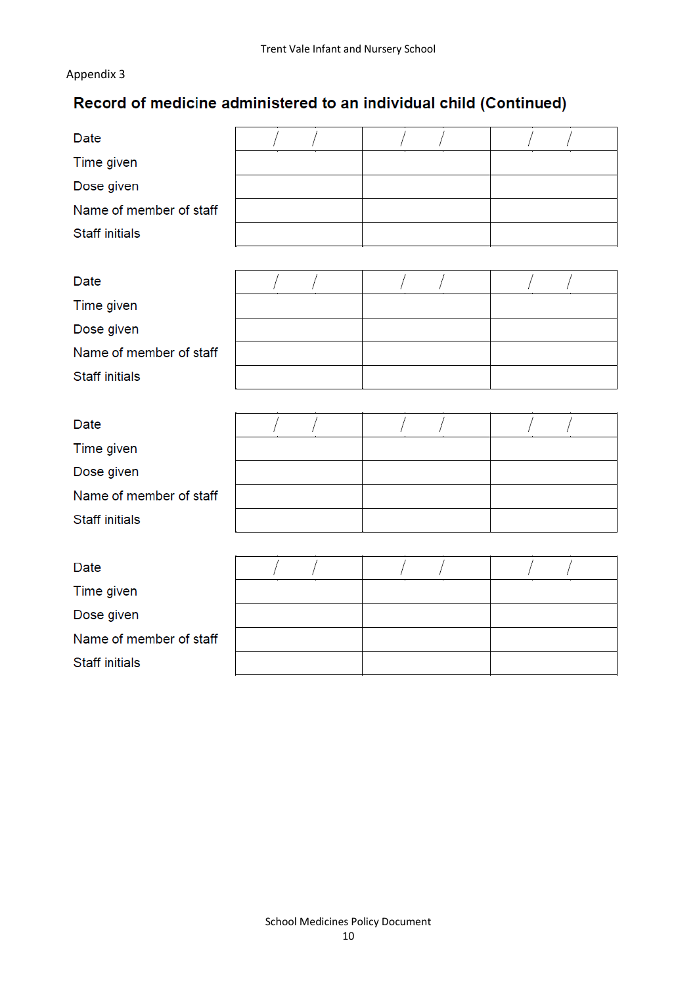# Record of medicine administered to an individual child (Continued)

| <b>Date</b><br>Time given<br>Dose given<br>Name of member of staff<br><b>Staff initials</b> |  |  |
|---------------------------------------------------------------------------------------------|--|--|
| Date<br>Time given<br>Dose given<br>Name of member of staff<br><b>Staff initials</b>        |  |  |
| Date<br>Time given<br>Dose given<br>Name of member of staff<br><b>Staff initials</b>        |  |  |
| <b>Date</b><br>Time given<br>Dose given<br>Name of member of staff<br><b>Staff initials</b> |  |  |